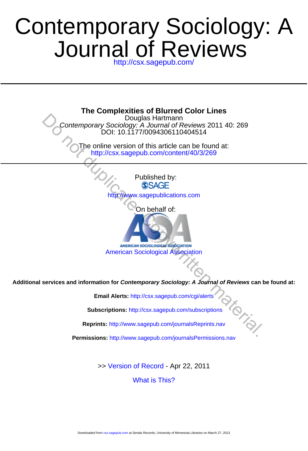# Journal of Reviews Contemporary Sociology: A

<http://csx.sagepub.com/>

http://csx.sagepub.com/content/40/3/269 The online version of this article can be found at: DOI: 10.1177/0094306110404514 Contemporary Sociology: A Journal of Reviews 2011 40: 269 Douglas Hartmann **The Complexities of Blurred Color Lines** Published by:<br>
SAGE http://www.sagepublications.com On behalf of: American Sociological Association **Additional services and information for Contemporary Sociology: A Journal of Reviews can be found at: Email Alerts:** http://csx.sagepub.com/cgi/alerts **Subscriptions:** http://csx.sagepub.com/subscriptions<br>
Analysis of the media of the media of the media of the media of the media of the media of the media of the media of the media of the media of the media of the media of **Reprints:** http://www.sagepub.com/journalsReprints.nav **Permissions:** <http://www.sagepub.com/journalsPermissions.nav> [What is This?](http://online.sagepub.com/site/sphelp/vorhelp.xhtml) >> [Version of Record -](http://csx.sagepub.com/content/40/3/269.full.pdf) Apr 22, 2011 Contemporary Cociological Association<br>
Dol: 10.1177/0094306110404514<br>
The online version of this article can be foun[d](http://csx.sagepub.com/content/40/3/269) at:<br>
The online version of this article can be found at:<br>
http://csx.sagepub.co[m](http://csx.sagepub.com/cgi/alerts)/content/40/3/269<br>
The c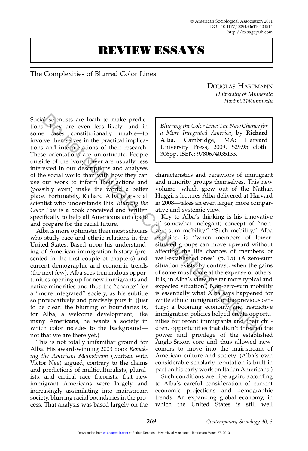# REVIEW ESSAYS

The Complexities of Blurred Color Lines

DOUGLAS HARTMANN University of Minnesota Hartm021@umn.edu

Social scientists are loath to make predictions. They are even less likely—and in some cases constitutionally unable—to involve themselves in the practical implications and interpretations of their research. These orientations are unfortunate. People outside of the ivory tower are usually less interested in our descriptions and analyses of the social world than with how they can use our work to inform their actions and (possibly even) make the world a better place. Fortunately, Richard Alba is a social scientist who understands this. Blurring the Color Line is a book conceived and written specifically to help all Americans anticipate and prepare for the racial future.

Alba is more optimistic than most scholars who study race and ethnic relations in the United States. Based upon his understanding of American immigration history (presented in the first couple of chapters) and current demographic and economic trends (the next few), Alba sees tremendous opportunities opening up for new immigrants and native minorities and thus the ''chance'' for a ''more integrated'' society, as his subtitle so provocatively and precisely puts it. (Just to be clear: the blurring of boundaries is, for Alba, a welcome development; like many Americans, he wants a society in which color recedes to the background not that we are there yet.)

This is not totally unfamiliar ground for Alba. His award-winning 2003 book Remaking the American Mainstream (written with Victor Nee) argued, contrary to the claims and predictions of multiculturalists, pluralists, and critical race theorists, that new immigrant Americans were largely and increasingly assimilating into mainstream society, blurring racial boundaries in the process. That analysis was based largely on the Blurring the Color Line: The New Chance for a More Integrated America, by Richard Alba. Cambridge, MA: Harvard University Press, 2009. \$29.95 cloth. 306pp. ISBN: 9780674035133.

characteristics and behaviors of immigrant and minority groups themselves. This new volume—which grew out of the Nathan Huggins lectures Alba delivered at Harvard in 2008—takes an even larger, more comparative and systemic view.

Key to Alba's thinking is his innovative (if somewhat inelegant) concept of ''nonzero-sum mobility.'' ''Such mobility,'' Alba explains, is ''when members of lowersituated groups can move upward without affecting the life chances of members of well-established ones'' (p. 15). (A zero-sum situation exists, by contrast, when the gains of some must come at the expense of others. It is, in Alba's view, the far more typical and expected situation.) Non-zero-sum mobility is essentially what Alba says happened for white ethnic immigrants of the previous century: a booming economy and restrictive immigration policies helped create opportunities for recent immigrants and their children, opportunities that didn't threaten the power and privilege of the established Anglo-Saxon core and thus allowed newcomers to move into the mainstream of American culture and society. (Alba's own considerable scholarly reputation is built in part on his early work on Italian Americans.) al scientists are loath to make predic-<br>
a Flew are even less likely—and in <br>
a More Integrated America, by Richar<br>
even less in the practical implica-<br>
by a More Integrated America, by Richar<br>
ite when<br>
selven the practi

Such conditions are ripe again, according to Alba's careful consideration of current economic projections and demographic trends. An expanding global economy, in which the United States is still well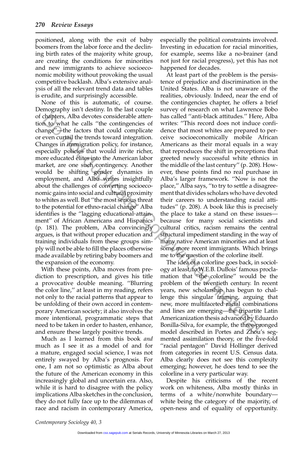positioned, along with the exit of baby boomers from the labor force and the declining birth rates of the majority white group, are creating the conditions for minorities and new immigrants to achieve socioeconomic mobility without provoking the usual competitive backlash. Alba's extensive analysis of all the relevant trend data and tables is erudite, and surprisingly accessible.

None of this is automatic, of course. Demography isn't destiny. In the last couple of chapters, Alba devotes considerable attention to what he calls ''the contingencies of change''—the factors that could complicate or even curtail the trends toward integration. Changes in immigration policy, for instance, especially policies that would invite richer, more educated elites into the American labor market, are one such contingency. Another would be shifting gender dynamics in employment, and Alba writes insightfully about the challenges of converting socioeconomic gains into social and cultural proximity to whites as well. But ''the most serious threat to the potential for ethno-racial change'' Alba identifies is the ''lagging educational attainment'' of African Americans and Hispanics (p. 181). The problem, Alba convincingly argues, is that without proper education and training individuals from these groups simply will not be able to fill the places otherwise made available by retiring baby boomers and the expansion of the economy. chapters. Alba devotes considerable atter-<br>has calcle "in the same defact in the same dependent of  $\mathbf{h}_0$  what be calls "the contingencies of writes: "This record does not induce ange the factors that could complicate

With these points, Alba moves from prediction to prescription, and gives his title a provocative double meaning. ''Blurring the color line,'' at least in my reading, refers not only to the racial patterns that appear to be unfolding of their own accord in contemporary American society; it also involves the more intentional, programmatic steps that need to be taken in order to hasten, enhance, and ensure these largely positive trends.

Much as I learned from this book and much as I see it as a model of and for a mature, engaged social science, I was not entirely swayed by Alba's prognosis. For one, I am not so optimistic as Alba about the future of the American economy in this increasingly global and uncertain era. Also, while it is hard to disagree with the policy implications Alba sketches in the conclusion, they do not fully face up to the dilemmas of race and racism in contemporary America, especially the political constraints involved. Investing in education for racial minorities, for example, seems like a no-brainer (and not just for racial progress), yet this has not happened for decades.

At least part of the problem is the persistence of prejudice and discrimination in the United States. Alba is not unaware of the realities, obviously. Indeed, near the end of the contingencies chapter, he offers a brief survey of research on what Lawrence Bobo has called ''anti-black attitudes.'' Here, Alba writes: ''This record does not induce confidence that most whites are prepared to perceive socioeconomically mobile African Americans as their moral equals in a way that reproduces the shift in perceptions that greeted newly successful white ethnics in the middle of the last century'' (p. 208). However, these points find no real purchase in Alba's larger framework. ''Now is not the place,'' Alba says, ''to try to settle a disagreement that divides scholars who have devoted their careers to understanding racial attitudes'' (p. 208). A book like this is precisely the place to take a stand on these issues because for many social scientists and cultural critics, racism remains the central structural impediment standing in the way of many native American minorities and at least some more recent immigrants. Which brings me to the question of the colorline itself.

The idea of a colorline goes back, in sociology at least, to W.E.B. DuBois' famous proclamation that "the colorline" would be the problem of the twentieth century. In recent years, new scholarship has begun to challenge this singular framing, arguing that new, more multifaceted racial combinations and lines are emerging—the tripartite Latin Americanization thesis advanced by Eduardo Bonilla-Silva, for example, the three-pronged model described in Portes and Zhou's segmented assimilation theory, or the five-fold "racial pentagon" David Hollinger derived from categories in recent U.S. Census data. Alba clearly does not see this complexity emerging; however, he does tend to see the colorline in a very particular way.

Despite his criticisms of the recent work on whiteness, Alba mostly thinks in terms of a white/nonwhite boundary white being the category of the majority, of open-ness and of equality of opportunity.

Contemporary Sociology 40, 3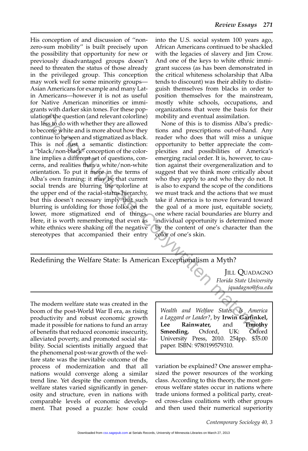His conception of and discussion of ''nonzero-sum mobility'' is built precisely upon the possibility that opportunity for new or previously disadvantaged groups doesn't need to threaten the status of those already in the privileged group. This conception may work well for some minority groups— Asian Americans for example and many Latin Americans—however it is not as useful for Native American minorities or immigrants with darker skin tones. For these populations the question (and relevant colorline) has less to do with whether they are allowed to become white and is more about how they continue to be seen and stigmatized as black. This is not just a semantic distinction: a ''black/non-black'' conception of the colorline implies a different set of questions, concerns, and realities than a white/non-white orientation. To put it more in the terms of Alba's own framing: it may be that current social trends are blurring the colorline at the upper end of the racial-status hierarchy, but this doesn't necessary imply that such blurring is unfolding for those folks on the lower, more stigmatized end of things. Here, it is worth remembering that even as white ethnics were shaking off the negative stereotypes that accompanied their entry on'the question (and relavant colorine) mobility and eventual assimilation.<br>
See the do with whether they are allowed None of this is to dismiss Alba's preconcychite and is more about how they tions and prescriptions out-

into the U.S. social system 100 years ago, African Americans continued to be shackled with the legacies of slavery and Jim Crow. And one of the keys to white ethnic immigrant success (as has been demonstrated in the critical whiteness scholarship that Alba tends to discount) was their ability to distinguish themselves from blacks in order to position themselves for the mainstream, mostly white schools, occupations, and organizations that were the basis for their mobility and eventual assimilation.

None of this is to dismiss Alba's predictions and prescriptions out-of-hand. Any reader who does that will miss a unique opportunity to better appreciate the complexities and possibilities of America's emerging racial order. It is, however, to caution against their overgeneralization and to suggest that we think more critically about who they apply to and who they do not. It is also to expand the scope of the conditions we must track and the actions that we must take if America is to move forward toward the goal of a more just, equitable society, one where racial boundaries are blurry and individual opportunity is determined more by the content of one's character than the color of one's skin.

Redefining the Welfare State: Is American Exceptionalism a Myth?

**IILL OUADAGNO** Florida State University jquadagno@fsu.edu

The modern welfare state was created in the boom of the post-World War II era, as rising productivity and robust economic growth made it possible for nations to fund an array of benefits that reduced economic insecurity, alleviated poverty, and promoted social stability. Social scientists initially argued that the phenomenal post-war growth of the welfare state was the inevitable outcome of the process of modernization and that all nations would converge along a similar trend line. Yet despite the common trends, welfare states varied significantly in generosity and structure, even in nations with comparable levels of economic development. That posed a puzzle: how could

Wealth and Welfare States: Is America a Laggard or Leader?, by Irwin Garfinkel, Lee Rainwater, and Timothy Smeeding. Oxford, UK: Oxford University Press, 2010. 254pp. \$35.00 paper. ISBN: 9780199579310.

variation be explained? One answer emphasized the power resources of the working class. According to this theory, the most generous welfare states occur in nations where trade unions formed a political party, created cross-class coalitions with other groups and then used their numerical superiority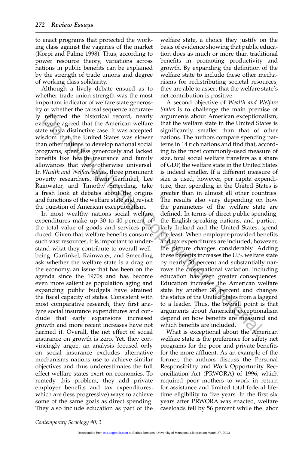to enact programs that protected the working class against the vagaries of the market (Korpi and Palme 1998). Thus, according to power resource theory, variations across nations in public benefits can be explained by the strength of trade unions and degree of working class solidarity.

Although a lively debate ensued as to whether trade union strength was the most important indicator of welfare state generosity or whether the causal sequence accurately reflected the historical record, nearly everyone agreed that the American welfare state was a distinctive case. It was accepted wisdom that the United States was slower than other nations to develop national social programs, spent less generously and lacked benefits like health insurance and family allowances that were otherwise universal. In Wealth and Welfare States, three prominent poverty researchers, Irwin Garfinkel, Lee Rainwater, and Timothy Smeeding, take a fresh look at debates about the origins and functions of the welfare state and revisit the question of American exceptionalism.

In most wealthy nations social welfare expenditures make up 30 to 40 percent of the total value of goods and services produced. Given that welfare benefits consume such vast resources, it is important to understand what they contribute to overall wellbeing. Garfinkel, Rainwater, and Smeeding ask whether the welfare state is a drag on the economy, an issue that has been on the agenda since the 1970s and has become even more salient as population aging and expanding public budgets have strained the fiscal capacity of states. Consistent with most comparative research, they first analyze social insurance expenditures and conclude that early expansions increased growth and more recent increases have not harmed it. Overall, the net effect of social insurance on growth is zero. Yet, they convincingly argue, an analysis focused only on social insurance excludes alternative mechanisms nations use to achieve similar objectives and thus underestimates the full effect welfare states exert on economies. To remedy this problem, they add private employer benefits and tax expenditures, which are (less progressive) ways to achieve some of the same goals as direct spending. They also include education as part of the

welfare state, a choice they justify on the basis of evidence showing that public education does as much or more than traditional benefits in promoting productivity and growth. By expanding the definition of the welfare state to include these other mechanisms for redistributing societal resources, they are able to assert that the welfare state's net contribution is positive.

A second objective of Wealth and Welfare States is to challenge the main premise of arguments about American exceptionalism, that the welfare state in the United States is significantly smaller than that of other nations. The authors compare spending patterns in 14 rich nations and find that, according to the most commonly-used measure of size, total social welfare transfers as a share of GDP, the welfare state in the United States is indeed smaller. If a different measure of size is used, however, per capita expenditure, then spending in the United States is greater than in almost all other countries. The results also vary depending on how the parameters of the welfare state are defined. In terms of direct public spending, the English-speaking nations, and particularly Ireland and the United States, spend the least. When employer-provided benefits and tax expenditures are included, however, the picture changes considerably. Adding these benefits increases the U.S. welfare state by nearly 50 percent and substantially narrows the cross-national variation. Including education has even greater consequences. Education increases the American welfare state by another 38 percent and changes the status of the United States from a laggard to a leader. Thus, the overall point is that arguments about American exceptionalism depend on how benefits are measured and which benefits are included. reflected the historical record, nearly arguments about American exception, the sugarest shapes agreed that the Mmerican excepted significantly smaller than that of sequence speed that be to littled State was accepted sig

What is exceptional about the American welfare state is the preference for safety net programs for the poor and private benefits for the more affluent. As an example of the former, the authors discuss the Personal Responsibility and Work Opportunity Reconciliation Act (PRWORA) of 1996, which required poor mothers to work in return for assistance and limited total federal lifetime eligibility to five years. In the first six years after PRWORA was enacted, welfare caseloads fell by 56 percent while the labor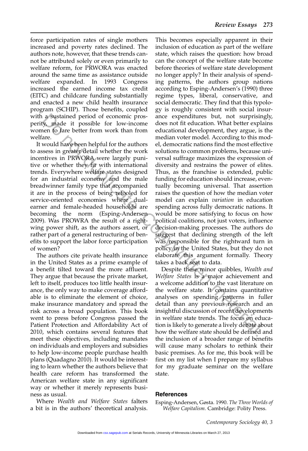force participation rates of single mothers increased and poverty rates declined. The authors note, however, that these trends cannot be attributed solely or even primarily to welfare reform, for PRWORA was enacted around the same time as assistance outside welfare expanded. In 1993 Congress increased the earned income tax credit (EITC) and childcare funding substantially and enacted a new child health insurance program (SCHIP). Those benefits, coupled with a sustained period of economic prosperity, made it possible for low-income women to fare better from work than from welfare.

It would have been helpful for the authors to assess in greater detail whether the work incentives in PRWORA were largely punitive or whether they fit with international trends. Everywhere welfare states designed for an industrial economy and the male breadwinner family type that accompanied it are in the process of being retooled for service-oriented economies where dualearner and female-headed households are becoming the norm (Esping-Andersen 2009). Was PROWRA the result of a rightwing power shift, as the authors assert, or rather part of a general restructuring of benefits to support the labor force participation of women?

The authors cite private health insurance in the United States as a prime example of a benefit tilted toward the more affluent. They argue that because the private market, left to itself, produces too little health insurance, the only way to make coverage affordable is to eliminate the element of choice, make insurance mandatory and spread the risk across a broad population. This book went to press before Congress passed the Patient Protection and Affordability Act of 2010, which contains several features that meet these objectives, including mandates on individuals and employers and subsidies to help low-income people purchase health plans (Quadagno 2010). It would be interesting to learn whether the authors believe that health care reform has transformed the American welfare state in any significant way or whether it merely represents business as usual.

Where Wealth and Welfare States falters a bit is in the authors' theoretical analysis.

This becomes especially apparent in their inclusion of education as part of the welfare state, which raises the question: how broad can the concept of the welfare state become before theories of welfare state development no longer apply? In their analysis of spending patterns, the authors group nations according to Esping-Andersen's (1990) three regime types, liberal, conservative, and social democratic. They find that this typology is roughly consistent with social insurance expenditures but, not surprisingly, does not fit education. What better explains educational development, they argue, is the median voter model. According to this model, democratic nations find the most effective solutions to common problems, because universal suffrage maximizes the expression of diversity and restrains the power of elites. Thus, as the franchise is extended, public funding for education should increase, eventually becoming universal. That assertion raises the question of how the median voter model can explain variation in education spending across fully democratic nations. It would be more satisfying to focus on how political coalitions, not just voters, influence decision-making processes. The authors do suggest that declining strength of the left was responsible for the rightward turn in policy in the United States, but they do not elaborate this argument formally. Theory takes a back seat to data. a Systemind period of conomic prossame expenditures but, not surprising a psystimal period of conomic prosible for low-income does not fit due<br>toim. What better explesion for the material model model. According to this me

Despite these minor quibbles, Wealth and Welfare States is a major achievement and a welcome addition to the vast literature on the welfare state. It contains quantitative analyses on spending patterns in fuller detail than any previous research and an insightful discussion of recent developments in welfare state trends. The focus on education is likely to generate a lively debate about how the welfare state should be defined and the inclusion of a broader range of benefits will cause many scholars to rethink their basic premises. As for me, this book will be first on my list when I prepare my syllabus for my graduate seminar on the welfare state.

#### References

Esping-Andersen, Gøsta. 1990. The Three Worlds of Welfare Capitalism. Cambridge: Polity Press.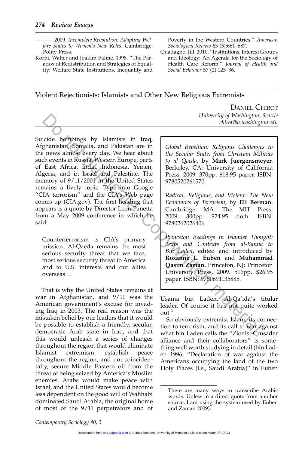- -. 2009. Incomplete Revolution: Adapting Welfare States to Women's New Roles. Cambridge: Polity Press.
- Korpi, Walter and Joakim Palme. 1998. ''The Paradox of Redistribution and Strategies of Equality: Welfare State Institutions, Inequality and

Poverty in the Western Countries.'' American Sociological Review 63 (5):661–687.

Quadagno, Jill. 2010. ''Institutions, Interest Groups and Ideology: An Agenda for the Sociology of Health Care Reform." Journal of Health and Social Behavior 57 (2):125–36.

Violent Rejectionists: Islamists and Other New Religious Extremists

DANIEL CHIROT

Suicide bombings by Islamists in Iraq, Afghanistan, Somalia, and Pakistan are in the news almost every day. We hear about such events in Russia, Western Europe, parts of East Africa, India, Indonesia, Yemen, Algeria, and in Israel and Palestine. The memory of 9/11/2001 in the United States remains a lively topic. Type into Google ''CIA terrorism'' and the CIA's Web page comes up (CIA.gov). The first heading that appears is a quote by Director Leon Panetta from a May 2009 conference in which he said: University of Washington,<br>
Contact the School controller, the section of the School controller, the section of the School contact in the School Rebellion: Religious Challenge<br>
Fraction in the School Rebellion: Religious Ch

Counterterrorism is CIA's primary mission. Al-Qaeda remains the most serious security threat that we face, most serious security threat to America and to U.S. interests and our allies overseas.

That is why the United States remains at war in Afghanistan, and 9/11 was the American government's excuse for invading Iraq in 2003. The real reason was the mistaken belief by our leaders that it would be possible to establish a friendly, secular, democratic Arab state in Iraq, and that this would unleash a series of changes throughout the region that would eliminate Islamist extremism, establish peace throughout the region, and not coincidentally, secure Middle Eastern oil from the threat of being seized by America's Muslim enemies. Arabs would make peace with Israel, and the United States would become less dependent on the good will of Wahhabi dominated Saudi Arabia, the original home of most of the 9/11 perpetrators and of University of Washington, Seattle chirot@u.washington.edu

Global Rebellion: Religious Challenges to the Secular State, from Christian Militias to al Qaeda, by Mark Juergensmeyer. Berkeley, CA: University of California Press, 2009. 370pp. \$18.95 paper. ISBN: 9780520261570.

Radical, Religious, and Violent: The New Economics of Terrorism, by Eli Berman. Cambridge, MA: The MIT Press, 2009. 300pp. \$24.95 cloth. ISBN: 9780262026406.

Princeton Readings in Islamist Thought: Texts and Contexts from al-Banna to Bin Laden, edited and introduced by Roxanne L. Euben and Muhammad Qasim Zaman. Princeton, NJ: Princeton University Press, 2009. 516pp. \$26.95 paper. ISBN: 9780691135885.

Usama bin Laden, Al-Qa'ida's titular leader. Of course it has not quite worked  $\cot^1$ 

So obviously extremist Islam, its connection to terrorism, and its call to war against what bin Laden calls the ''Zionist-Crusader alliance and their collaborators'' is something well worth studying in detail (bin Laden 1996, ''Declaration of war against the Americans occupying the land of the two Holy Places [i.e., Saudi Arabia]'' in Euben

There are many ways to transcribe Arabic words. Unless in a direct quote from another source, I am using the system used by Euben and Zaman 2009).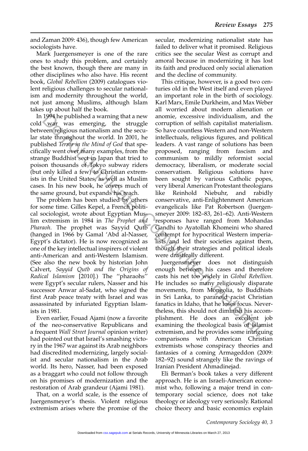and Zaman 2009: 436), though few American sociologists have.

Mark Juergensmeyer is one of the rare ones to study this problem, and certainly the best known, though there are many in other disciplines who also have. His recent book, Global Rebellion (2009) catalogues violent religious challenges to secular nationalism and modernity throughout the world, not just among Muslims, although Islam takes up about half the book.

In 1994 he published a warning that a new cold war was emerging, the struggle between religious nationalism and the secular state throughout the world. In 2001, he published Terror in the Mind of God that specifically went over many examples, from the strange Buddhist sect in Japan that tried to poison thousands of Tokyo subway riders (but only killed a few) to Christian extremists in the United States, as well as Muslim cases. In his new book, he covers much of the same ground, but expands his reach.

The problem has been studied by others for some time. Gilles Kepel, a French political sociologist, wrote about Egyptian Muslim extremism in 1984 in The Prophet and Pharaoh. The prophet was Sayyid Qutb (hanged in 1966 by Gamal 'Abd al-Nasser, Egypt's dictator). He is now recognized as one of the key intellectual inspirers of violent anti-American and anti-Western Islamism. (See also the new book by historian John Calvert, Sayyid Qutb and the Origins of Radical Islamism [2010].) The ''pharaohs'' were Egypt's secular rulers, Nasser and his successor Anwar al-Sadat, who signed the first Arab peace treaty with Israel and was assassinated by infuriated Egyptian Islamists in 1981.

Even earlier, Fouad Ajami (now a favorite of the neo-conservative Republicans and a frequent Wall Street Journal opinion writer) had pointed out that Israel's smashing victory in the 1967 war against its Arab neighbors had discredited modernizing, largely socialist and secular nationalism in the Arab world. Its hero, Nasser, had been exposed as a braggart who could not follow through on his promises of modernization and the restoration of Arab grandeur (Ajami 1981).

That, on a world scale, is the essence of Juergensmeyer's thesis. Violent religious extremism arises where the promise of the secular, modernizing nationalist state has failed to deliver what it promised. Religious critics see the secular West as corrupt and amoral because in modernizing it has lost its faith and produced only social alienation and the decline of community.

This critique, however, is a good two centuries old in the West itself and even played an important role in the birth of sociology. Karl Marx, Emile Durkheim, and Max Weber all worried about modern alienation or anomie, excessive individualism, and the corruption of selfish capitalist materialism. So have countless Western and non-Western intellectuals, religious figures, and political leaders. A vast range of solutions has been proposed, ranging from fascism and communism to mildly reformist social democracy, liberalism, or moderate social conservatism. Religious solutions have been sought by various Catholic popes, very liberal American Protestant theologians<br>like Reinhold Niebuhr, and rabidly like Reinhold Niebuhr, and rabidly conservative, anti-Enlightenment American evangelicals like Pat Robertson (Juergensmeyer 2009: 182–83, 261–62). Anti-Western responses have ranged from Mohandas Gandhi to Ayatollah Khomeini who shared contempt for hypocritical Western imperialists and led their societies against them, though their strategies and political ideals were drastically different. 1994 he published a warning that a new anomic, excessive individualism, and the secure in the secure is some that a complete throughout the word. In 2001, he intellectuals, religious antionalism and the secure So have cou

Juergensmeyer does not distinguish enough between his cases and therefore casts his net too widely in Global Rebellion. He includes so many religiously disparate movements, from Mongolia, to Buddhists in Sri Lanka, to paranoid racist Christian fanatics in Idaho, that he loses focus. Nevertheless, this should not diminish his accomplishment. He does an excellent job examining the theological basis of Islamist extremism, and he provides some intriguing comparisons with American Christian extremists whose conspiracy theories and fantasies of a coming Armageddon (2009: 182–92) sound strangely like the ravings of Iranian President Ahmadinejad.

Eli Berman's book takes a very different approach. He is an Israeli-American economist who, following a major trend in contemporary social science, does not take theology or ideology very seriously. Rational choice theory and basic economics explain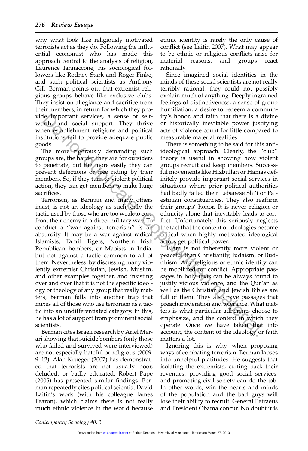why what look like religiously motivated terrorists act as they do. Following the influential economist who has made this approach central to the analysis of religion, Laurence Iannaccone, his sociological followers like Rodney Stark and Roger Finke, and such political scientists as Anthony Gill, Berman points out that extremist religious groups behave like exclusive clubs. They insist on allegiance and sacrifice from their members, in return for which they provide important services, a sense of selfworth, and social support. They thrive when establishment religions and political institutions fail to provide adequate public goods.

The more rigorously demanding such groups are, the harder they are for outsiders to penetrate, but the more easily they can prevent defections or free riding by their members. So, if they turn to violent political action, they can get members to make huge sacrifices.

Terrorism, as Berman and many others insist, is not an ideology as such, only the tactic used by those who are too weak to confront their enemy in a direct military way. To conduct a ''war against terrorism'' is an absurdity. It may be a war against radical Islamists, Tamil Tigers, Northern Irish Republican bombers, or Maoists in India, but not against a tactic common to all of them. Nevertheless, by discussing many violently extremist Christian, Jewish, Muslim, and other examples together, and insisting over and over that it is not the specific ideology or theology of any group that really matters, Berman falls into another trap that mixes all of those who use terrorism as a tactic into an undifferentiated category. In this, he has a lot of support from prominent social scientists. Le mportant services, a sense of self- ity's honor, and faith that there is a coupled paper of self- ity's honor, and faith that there is a copying the paper of self- ity horor and political acts of violence count for lit

Berman cites Israeli research by Ariel Merari showing that suicide bombers (only those who failed and survived were interviewed) are not especially hateful or religious (2009: 9–12). Alan Krueger (2007) has demonstrated that terrorists are not usually poor, deluded, or badly educated. Robert Pape (2005) has presented similar findings. Berman repeatedly cites political scientist David Laitin's work (with his colleague James Fearon), which claims there is not really much ethnic violence in the world because ethnic identity is rarely the only cause of conflict (see Laitin 2007). What may appear to be ethnic or religious conflicts arise for material reasons, and groups react rationally.

Since imagined social identities in the minds of these social scientists are not really terribly rational, they could not possibly explain much of anything. Deeply ingrained feelings of distinctiveness, a sense of group humiliation, a desire to redeem a community's honor, and faith that there is a divine or historically inevitable power justifying acts of violence count for little compared to measurable material realities.

There is something to be said for this antiideological approach. Clearly, the ''club'' theory is useful in showing how violent groups recruit and keep members. Successful movements like Hizbullah or Hamas definitely provide important social services in situations where prior political authorities had badly failed their Lebanese Shi'i or Palestinian constituencies. They also reaffirm their groups' honor. It is never religion or ethnicity alone that inevitably leads to conflict. Unfortunately this seriously neglects the fact that the content of ideologies become critical when highly motivated ideological actors get political power.

Islam is not inherently more violent or peaceful than Christianity, Judaism, or Buddhism. Any religious or ethnic identity can be mobilized for conflict. Appropriate passages in holy texts can be always found to justify vicious violence, and the Qur'an as well as the Christian and Jewish Bibles are full of them. They also have passages that preach moderation and tolerance. What matters is what particular adherents choose to emphasize, and the context in which they operate. Once we have taken that into account, the content of the ideology or faith matters a lot.

Ignoring this is why, when proposing ways of combating terrorism, Berman lapses into unhelpful platitudes. He suggests that isolating the extremists, cutting back their revenues, providing good social services, and promoting civil society can do the job. In other words, win the hearts and minds of the population and the bad guys will lose their ability to recruit. General Petraeus and President Obama concur. No doubt it is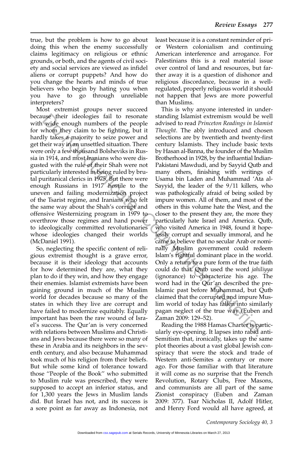true, but the problem is how to go about doing this when the enemy successfully claims legitimacy on religious or ethnic grounds, or both, and the agents of civil society and social services are viewed as infidel aliens or corrupt puppets? And how do you change the hearts and minds of true believers who begin by hating you when you have to go through unreliable interpreters?

Most extremist groups never succeed because their ideologies fail to resonate with wide enough numbers of the people for whom they claim to be fighting, but it hardly takes a majority to seize power and get their way in an unsettled situation. There were only a few thousand Bolsheviks in Russia in 1914, and most Iranians who were disgusted with the rule of their Shah were not particularly interested in being ruled by brutal puritanical clerics in 1975. But there were enough Russians in 1917 hostile to the uneven and failing modernization project of the Tsarist regime, and Iranians who felt the same way about the Shah's corrupt and offensive Westernizing program in 1979 to overthrow those regimes and hand power to ideologically committed revolutionaries whose ideologies changed their worlds (McDaniel 1991).

So, neglecting the specific content of religious extremist thought is a grave error, because it is their ideology that accounts for how determined they are, what they plan to do if they win, and how they engage their enemies. Islamist extremists have been gaining ground in much of the Muslim world for decades because so many of the states in which they live are corrupt and have failed to modernize equitably. Equally important has been the raw wound of Israel's success. The Qur'an is very concerned with relations between Muslims and Christians and Jews because there were so many of these in Arabia and its neighbors in the seventh century, and also because Muhammad took much of his religion from their beliefs. But while some kind of tolerance toward those ''People of the Book'' who submitted to Muslim rule was prescribed, they were supposed to accept an inferior status, and for 1,300 years the Jews in Muslim lands did. But Israel has not, and its success is a sore point as far away as Indonesia, not

least because it is a constant reminder of prior Western colonialism and continuing American interference and arrogance. For Palestinians this is a real material issue over control of land and resources, but farther away it is a question of dishonor and religious discordance, because in a wellregulated, properly religious world it should not happen that Jews are more powerful than Muslims.

This is why anyone interested in understanding Islamist extremism would be well advised to read Princeton Readings in Islamist Thought. The ably introduced and chosen selections are by twentieth and twenty-first century Islamists. They include basic texts by Hasan al-Banna, the founder of the Muslim Brotherhood in 1928, by the influential Indian-Pakistani Mawdudi, and by Sayyid Qutb and many others, finishing with writings of Usama bin Laden and Muhammad 'Ata al-Sayyid, the leader of the 9/11 killers, who was pathologically afraid of being soiled by impure women. All of them, and most of the others in this volume hate the West, and the closer to the present they are, the more they particularly hate Israel and America. Qutb, who visited America in 1948, found it hopelessly corrupt and sexually immoral, and he came to believe that no secular Arab or nominally Muslim government could redeem Islam's rightful dominant place in the world. Only a return to a pure form of the true faith could do that. Qutb used the word jahiliyya (ignorance) to characterize his age. The word had in the Qur'an described the pre-Islamic past before Muhammad, but Qutb claimed that the corrupted and impure Muslim world of today has fallen into similarly pagan neglect of the true way (Euben and Zaman 2009: 129–52). use their ideologies fail to resonal standing Islamist extreminin would be vorige words the propel advised to read *Princeton Readings* in Islamis exhone the propel advised por a subject the ably introduced and che worthy

Reading the 1988 Hamas Charter is particularly eye-opening. It lapses into rabid anti-Semitism that, ironically, takes up the same plot theories about a vast global Jewish conspiracy that were the stock and trade of Western anti-Semites a century or more ago. For those familiar with that literature it will come as no surprise that the French Revolution, Rotary Clubs, Free Masons, and communists are all part of the same Zionist conspiracy (Euben and Zaman 2009: 377). Tsar Nicholas II, Adolf Hitler, and Henry Ford would all have agreed, at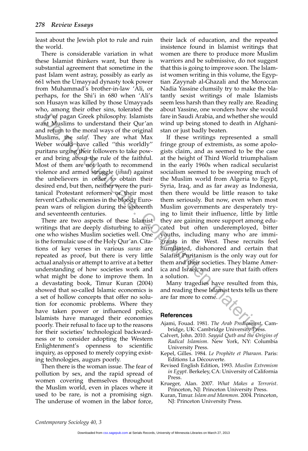least about the Jewish plot to rule and ruin the world.

There is considerable variation in what these Islamist thinkers want, but there is substantial agreement that sometime in the past Islam went astray, possibly as early as 661 when the Umayyad dynasty took power from Muhammad's brother-in-law 'Ali, or perhaps, for the Shi'i in 680 when 'Ali's son Husayn was killed by those Umayyads who, among their other sins, tolerated the study of pagan Greek philosophy. Islamists want Muslims to understand their Qur'an and return to the moral ways of the original Muslims, the salaf. They are what Max Weber would have called ''this worldly'' puritans urging their followers to take power and bring about the rule of the faithful. Most of them are not loath to recommend violence and armed struggle (jihad) against the unbelievers in order to obtain their desired end, but then, neither were the puritanical Protestant reformers or their most fervent Catholic enemies in the bloody European wars of religion during the sixteenth and seventeenth centuries.

There are two aspects of these Islamist writings that are deeply disturbing to anyone who wishes Muslim societies well. One is the formulaic use of the Holy Qur'an. Citations of key verses in various suras are repeated as proof, but there is very little actual analysis or attempt to arrive at a better understanding of how societies work and what might be done to improve them. In a devastating book, Timur Kuran (2004) showed that so-called Islamic economics is a set of hollow concepts that offer no solution for economic problems. Where they have taken power or influenced policy, Islamists have managed their economies poorly. Their refusal to face up to the reasons for their societies' technological backwardness or to consider adopting the Western Enlightenment's openness to scientific inquiry, as opposed to merely copying existing technologies, augurs poorly.

Then there is the woman issue. The fear of pollution by sex, and the rapid spread of women covering themselves throughout the Muslim world, even in places where it used to be rare, is not a promising sign. The underuse of women in the labor force,

their lack of education, and the repeated insistence found in Islamist writings that women are there to produce more Muslim warriors and be submissive, do not suggest that this is going to improve soon. The Islamist women writing in this volume, the Egyptian Zayynab al-Ghazali and the Moroccan Nadia Yassine clumsily try to make the blatantly sexist writings of male Islamists seem less harsh than they really are. Reading about Yassine, one wonders how she would fare in Saudi Arabia, and whether she would wind up being stoned to death in Afghanistan or just badly beaten.

If these writings represented a small fringe group of extremists, as some apologists claim, and as seemed to be the case at the height of Third World triumphalism in the early 1960s when radical secularist socialism seemed to be sweeping much of the Muslim world from Algeria to Egypt, Syria, Iraq, and as far away as Indonesia, then there would be little reason to take them seriously. But now, even when most Muslim governments are desperately trying to limit their influence, little by little they are gaining more support among educated but often underemployed, bitter youths, including many who are immigrants in the West. These recruits feel humiliated, dishonored and certain that Salafist Puritanism is the only way out for them and their societies. They blame America and Israel, and are sure that faith offers a solution. (dy for pagn Greek philosophy. Islamists fare in Soudi Arabia, and whether she with the dupling of pagn Greek philosophy. Islamists fare in Sulting the original stan or just badly beaten.<br>In Muslims to under word way of t

Many tragedies have resulted from this, and reading these Islamist texts tells us there are far more to come.

#### References

- Ajami, Fouad. 1981. The Arab Predicament. Cambridge, UK: Cambridge University Press.
- Calvert, John. 2010. Sayyid Qutb and the Origins of Radical Islamism. New York, NY: Columbia University Press.
- Kepel, Gilles. 1984. Le Prophète et Pharaon. Paris: Editions La Découverte.
- Revised English Edition, 1993. Muslim Extremism in Egypt. Berkeley, CA: University of California Press.
- Krueger, Alan. 2007. What Makes a Terrorist. Princeton, NJ: Princeton University Press.
- Kuran, Timur. Islam and Mammon. 2004. Princeton, NJ: Princeton University Press.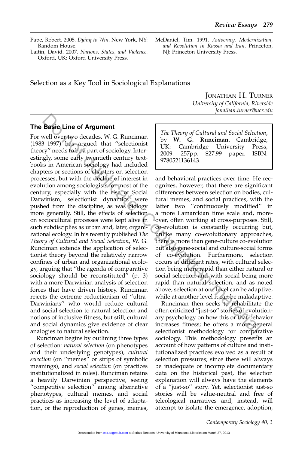JONATHAN H. TURNER University of California, Riverside

jonathan.turner@ucr.edu

- Pape, Robert. 2005. Dying to Win. New York, NY: Random House.
- Laitin, David. 2007. Nations, States, and Violence. Oxford, UK: Oxford University Press.

McDaniel, Tim. 1991. Autocracy, Modernization, and Revolution in Russia and Iran. Princeton, NJ: Princeton University Press.

Selection as a Key Tool in Sociological Explanations

## The Basic Line of Argument

For well over two decades, W. G. Runciman (1983–1997) has argued that ''selectionist theory'' needs to be a part of sociology. Interestingly, some early twentieth century textbooks in American sociology had included chapters or sections of chapters on selection processes, but with the decline of interest in evolution among sociologists for most of the century, especially with the rise of Social Darwinism, selectionist dynamics were pushed from the discipline, as was biology more generally. Still, the effects of selection on sociocultural processes were kept alive in such subdisciplies as urban and, later, organizational ecology. In his recently published The Theory of Cultural and Social Selection, W. G. Runciman extends the application of selectionist theory beyond the relatively narrow confines of urban and organizational ecology, arguing that ''the agenda of comparative sociology should be reconstituted'' (p. 3) with a more Darwinian analysis of selection forces that have driven history. Runciman rejects the extreme reductionism of ''ultra-Darwinians'' who would reduce cultural and social selection to natural selection and notions of inclusive fitness, but still, cultural and social dynamics give evidence of clear analogies to natural selection. **Basic Line of Argument**<br>
Pasic Line of Argument<br>  $\text{w} = 1997$ ) bas-argued that "selectionist by W. G. Runciman Cambridge University Trees<br>  $\text{y} = 1997$ ) bas-argued that "selectionist UK: Cambridge University Trees<br>  $\text$ 

Runciman begins by outlining three types of selection: natural selection (on phenotypes and their underlying genotypes), cultural selection (on "memes" or strips of symbolic meanings), and social selection (on practices institutionalized in roles). Runciman retains a heavily Darwinian perspective, seeing ''competitive selection'' among alternative phenotypes, cultural memes, and social practices as increasing the level of adaptation, or the reproduction of genes, memes, The Theory of Cultural and Social Selection, by W. G. Runciman. Cambridge,<br>UK: Cambridge University Press, Cambridge University Press, 2009. 257pp. \$27.99 paper. ISBN: 9780521136143.

and behavioral practices over time. He recognizes, however, that there are significant differences between selection on bodies, cultural memes, and social practices, with the latter two ''continuously modified'' in a more Lamarckian time scale and, moreover, often working at cross-purposes. Still, co-evolution is constantly occurring but, unlike many co-evolutionary approaches, there is more than gene-culture co-evolution but also gene-social and culture-social forms of co-evolution. Furthermore, selection occurs at different rates, with cultural selection being more rapid than either natural or social selection and with social being more rapid than natural selection; and as noted above, selection at one level can be adaptive, while at another level it can be maladaptive.

Runciman then seeks to rehabilitate the often criticized ''just-so'' stories of evolutionary psychology on how this or that behavior increases fitness; he offers a more general selectionist methodology for comparative sociology. This methodology presents an account of how patterns of culture and institutionalized practices evolved as a result of selection pressures; since there will always be inadequate or incomplete documentary data on the historical past, the selection explanation will always have the elements of a ''just-so'' story. Yet, selectionist just-so stories will be value-neutral and free of teleological narratives and, instead, will attempt to isolate the emergence, adoption,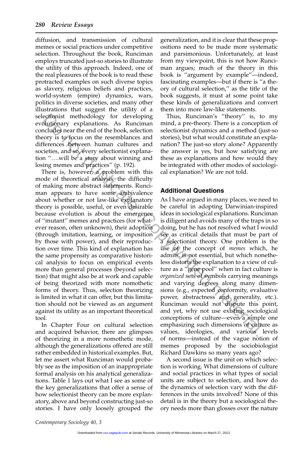diffusion, and transmission of cultural memes or social practices under competitive selection. Throughout the book, Runciman employs truncated just-so stories to illustrate the utility of this approach. Indeed, one of the real pleasures of the book is to read these protracted examples on such diverse topics as slavery, religious beliefs and practices, world-system (empire) dynamics, wars, politics in diverse societies, and many other illustrations that suggest the utility of a selectionist methodology for developing evolutionary explanations. As Runciman concludes near the end of the book, selection theory is to focus on the resemblances and differences between human cultures and societies, and so, every selectionist explanation ''..will be a story about winning and losing memes and practices'' (p. 192).

There is, however, a problem with this mode of theoretical analysis: the difficulty of making more abstract statements. Runciman appears to have some ambivalence about whether or not law-like explanatory theory is possible, useful, or even desirable because evolution is about the emergence of ''mutant'' memes and practices (for whatever reason, often unknown), their adoption (through imitation, learning, or imposition by those with power), and their reproduction over time. This kind of explanation has the same propensity as comparative historical analysis to focus on empirical events more than general processes (beyond selection) that might also be at work and capable of being theorized with more nomothetic forms of theory. Thus, selection theorizing is limited in what it can offer, but this limitation should not be viewed as an argument against its utility as an important theoretical tool. exploring The developing Thus, Runciman's "theory" is, terestricted or developing Thus, Runciman in "theory" is to concept<br>columinanty explanations. As Runciman mind, a pre-theory There is a concept<br>cluding near the end o

In Chapter Four on cultural selection and acquired behavior, there are glimpses of theorizing in a more nomothetic mode, although the generalizations offered are still rather embedded in historical examples. But, let me assert what Runciman would probably see as the imposition of an inappropriate formal analysis on his analytical generalizations. Table 1 lays out what I see as some of the key generalizations that offer a sense of how selectionist theory can be more explanatory, above and beyond constructing just-so stories. I have only loosely grouped the

generalization, and it is clear that these propositions need to be made more systematic and parsimonious. Unfortunately, at least from my viewpoint, this is not how Runciman argues; much of the theory in this book is ''argument by example''—indeed, fascinating examples—but if there is ''a theory of cultural selection,'' as the title of the book suggests, it must at some point take these kinds of generalizations and convert them into more law-like statements.

Thus, Runciman's ''theory'' is, to my mind, a pre-theory. There is a conception of selectionist dynamics and a method (just-so stories), but what would constitute an explanation? The just-so story alone? Apparently the answer is yes, but how satisfying are these as explanations and how would they be integrated with other modes of sociological explanation? We are not told.

#### Additional Questions

As I have argued in many places, we need to be careful in adopting Darwinian-inspired ideas in sociological explanations. Runciman is diligent and avoids many of the traps in so doing, but he has not resolved what I would see as critical details that must be part of a selectionist theory. One problem is the use of the concept of memes which, he admits, is not essential, but which nonetheless distorts the explanation to a view of culture as a ''gene pool'' when in fact culture is organized sets of symbols carrying meanings and varying degrees along many dimensions (e.g., expected conformity, evaluative power, abstractness and generality, etc.). Runciman would not dispute this point, and yet, why not use existing sociological conceptions of culture—even a simple one emphasizing such dimensions of culture as values, ideologies, and various levels of norms—instead of the vague notion of memes proposed by the sociobiologist Richard Dawkins so many years ago?

A second issue is the unit on which selection is working. What dimensions of culture and social practices in what types of social units are subject to selection, and how do the dynamics of selection vary with the differences in the units involved? None of this detail is in the theory but a sociological theory needs more than glosses over the nature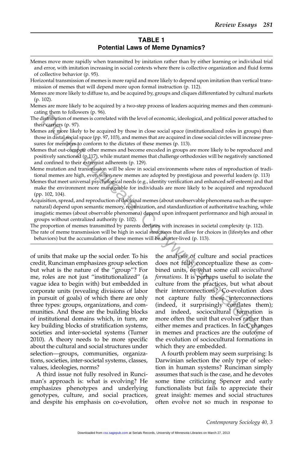### TABLE 1 Potential Laws of Meme Dynamics?

- Memes move more rapidly when transmitted by imitation rather than by either learning or individual trial and error, with imitation increasing in social contexts where there is collective organization and fluid forms of collective behavior (p. 95).
- Horizontal transmission of memes is more rapid and more likely to depend upon imitation than vertical transmission of memes that will depend more upon formal instruction (p. 112).
- Memes are more likely to diffuse to, and be acquired by, groups and cliques differentiated by cultural markets (p. 102).
- Memes are more likely to be acquired by a two-step process of leaders acquiring memes and then communicating them to followers (p. 96).
- The distribution of memes is correlated with the level of economic, ideological, and political power attached to their carriers (p. 97).
- Memes are more likely to be acquired by those in close social space (institutionalized roles in groups) than those in distal social space (pp. 97, 103), and memes that are acquired in close social circles will increase pressures for members to conform to the dictates of these memes (p. 113).
- Memes that out-compete other memes and become encoded in groups are more likely to be reproduced and positively sanctioned (p.117), while mutant memes that challenge orthodoxies will be negatively sanctioned and confined to their extremist adherents (p. 129).
- Meme mutation and transmission will be slow in social environments where rates of reproduction of traditional memes are high, even when new memes are adopted by prestigious and powerful leaders (p. 113)
- Memes that meet universal psychological needs (e.g., identity verification and enhanced self-esteem) and that make the environment more manageable for individuals are more likely to be acquired and reproduced (pp. 102, 104).
- Acquisition, spread, and reproduction of doctrinal memes (about unobservable phenomena such as the supernatural) depend upon semantic memory, routinization, and standardization of authoritative teaching, while imagistic memes (about observable phenomena) depend upon infrequent performance and high arousal in groups without centralized authority (p. 102).
- The proportion of memes transmitted by parents declines with increases in societal complexity (p. 112).
- The rate of meme transmission will be high in social structures that allow for choices in (lifestyles and other behaviors) but the accumulation of these memes will be shorter-lived (p. 113).

of units that make up the social order. To his credit, Runciman emphasizes group selection but what is the nature of the ''group''? For me, roles are not just ''institutionalized'' (a vague idea to begin with) but embedded in corporate units (revealing divisions of labor in pursuit of goals) of which there are only three types: groups, organizations, and communities. And these are the building blocks of institutional domains which, in turn, are key building blocks of stratification systems, societies and inter-societal systems (Turner 2010). A theory needs to be more specific about the cultural and social structures under selection—groups, communities, organizations, societies, inter-societal systems, classes, values, ideologies, norms?

A third issue not fully resolved in Runciman's approach is: what is evolving? He emphasizes phenotypes and underlying genotypes, culture, and social practices, and despite his emphasis on co-evolution,

the analysis of culture and social practices does not fully conceptualize these as combined units, or what some call sociocultural formations. It is perhaps useful to isolate the culture from the practices, but what about their interconnections? Co-evolution does not capture fully these interconnections (indeed, it surprisingly conflates them); and indeed, sociocultural formation is more often the unit that evolves rather than either memes and practices. In fact, changes in memes and practices are the outcome of the evolution of sociocultural formations in which they are embedded. Boriflytion of memes is correlated with he level of economic, ideological, and political power attached and political power attached and political is a properties. Copy  $\pi$ , 103), and memes that are acquired in close sca

> A fourth problem may seem surprising: Is Darwinian selection the only type of selection in human systems? Runciman simply assumes that such is the case, and he devotes some time criticizing Spencer and early functionalists but fails to appreciate their great insight: memes and social structures often evolve not so much in response to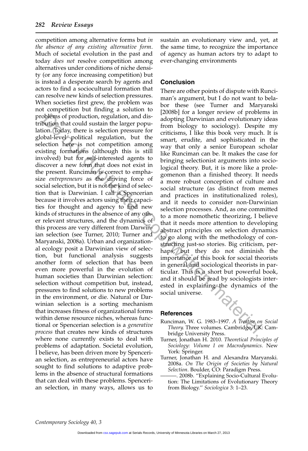competition among alternative forms but in the absence of any existing alternative form. Much of societal evolution in the past and today does not resolve competition among alternatives under conditions of niche density (or any force increasing competition) but is instead a desperate search by agents and actors to find a sociocultural formation that can resolve new kinds of selection pressures. When societies first grew, the problem was not competition but finding a solution to problems of production, regulation, and distribution that could sustain the larger population. Today, there is selection pressure for global-level political regulation, but the selection here is not competition among existing formations (although this is still involved) but for self-interested agents to discover a new form that does not exist in the present. Runciman is correct to emphasize entrepreneurs as the driving force of social selection, but it is not the kind of selection that is Darwinian. I call it Spencerian because it involves actors using their capacities for thought and agency to find new kinds of structures in the absence of any other relevant structures, and the dynamics of this process are very different from Darwinian selection (see Turner, 2010; Turner and Maryanski, 2008a). Urban and organizational ecology posit a Darwinian view of selection, but functional analysis suggests another form of selection that has been even more powerful in the evolution of human societies than Darwinian selection: selection without competition but, instead, pressures to find solutions to new problems in the environment, or die. Natural or Darwinian selection is a sorting mechanism that increases fitness of organizational forms within dense resource niches, whereas functional or Spencerian selection is a generative process that creates new kinds of structures where none currently exists to deal with problems of adaptation. Societal evolution, I believe, has been driven more by Spencerian selection, as entrepreneurial actors have sought to find solutions to adaptive problems in the absence of structural formations that can deal with these problems. Spencerian selection, in many ways, allows us to befores of production, regulation, and dis-<br>
leaving Day they than the leaving bary in the contribulanty of properties<br>
pointing that could sustain the larger popu-<br>
dopting Darwinian and evolutionary<br>
ion. Today, there i

sustain an evolutionary view and, yet, at the same time, to recognize the importance of agency as human actors try to adapt to ever-changing environments

#### Conclusion

There are other points of dispute with Runciman's argument, but I do not want to belabor these (see Turner and Maryanski [2008b] for a longer review of problems in adopting Darwinian and evolutionary ideas from biology to sociology). Despite my criticisms, I like this book very much. It is smart, erudite, and sophisticated in the way that only a senior European scholar like Runciman can be. It makes the case for bringing selectionist arguments into sociological theory. But, it is more like a prolegomenon than a finished theory. It needs a more robust conception of culture and social structure (as distinct from memes and practices in institutionalized roles), and it needs to consider non-Darwinian selection processes. And, as one committed to a more nomothetic theorizing, I believe that it needs more attention to developing abstract principles on selection dynamics to go along with the methodology of constructing just-so stories. Big criticism, perhaps, but they do not diminish the importance of this book for social theorists in general and sociological theorists in particular. This is a short but powerful book, and it should be read by sociologists interested in explaining the dynamics of the social universe.

#### References

- Runciman, W. G. 1983–1997. A Treatise on Social Theory. Three volumes. Cambridge, UK: Cambridge University Press.
- Turner, Jonathan H. 2010. Theoretical Principles of Sociology: Volume I on Macrodynamics. New York: Springer.
- Turner, Jonathan H. and Alexandra Maryanski. 2008a. On The Origin of Societies by Natural Selection. Boulder, CO: Paradigm Press.
- -. 2008b. "Explaining Socio-Cultural Evolution: The Limitations of Evolutionary Theory from Biology.'' Sociologica 3: 1–23.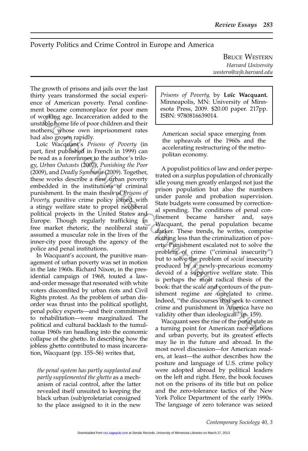### Poverty Politics and Crime Control in Europe and America

BRUCE WESTERN Harvard University western@wjh.harvard.edu

The growth of prisons and jails over the last thirty years transformed the social experience of American poverty. Penal confinement became commonplace for poor men of working age. Incarceration added to the unstable home life of poor children and their mothers, whose own imprisonment rates had also grown rapidly.

Loïc Wacquant's Prisons of Poverty (in part, first published in French in 1999) can be read as a forerunner to the author's trilogy, Urban Outcasts (2007), Punishing the Poor (2009), and Deadly Symbiosis (2009). Together, these works describe a new urban poverty embedded in the institutions of criminal punishment. In the main thesis of Prisons of Poverty, punitive crime policy joined with a stingy welfare state to propel neoliberal political projects in the United States and Europe. Though regularly trafficking in free market rhetoric, the neoliberal state assumed a muscular role in the lives of the inner-city poor through the agency of the police and penal institutions.

In Wacquant's account, the punitive management of urban poverty was set in motion in the late 1960s. Richard Nixon, in the presidential campaign of 1968, touted a lawand-order message that resonated with white voters discomfited by urban riots and Civil Rights protest. As the problem of urban disorder was thrust into the political spotlight, penal policy experts—and their commitment to rehabilitation—were marginalized. The political and cultural backlash to the tumultuous 1960s ran headlong into the economic collapse of the ghetto. In describing how the jobless ghetto contributed to mass incarceration, Wacquant (pp. 155–56) writes that,

the penal system has partly supplanted and partly supplemented the ghetto as a mechanism of racial control, after the latter revealed itself unsuited to keeping the black urban (sub)proletariat consigned to the place assigned to it in the new

Prisons of Poverty, by Loïc Wacquant. Minneapolis, MN: University of Minnesota Press, 2009. \$20.00 paper. 217pp. ISBN: 9780816639014.

American social space emerging from the upheavals of the 1960s and the accelerating restructuring of the metropolitan economy.

A populist politics of law and order perpetrated on a surplus population of chronically idle young men greatly enlarged not just the prison population but also the numbers under parole and probation supervision. State budgets were consumed by correctional spending. The conditions of penal confinement became harsher and, says Wacquant, the penal population became darker. These trends, he writes, comprise nothing less than the criminalization of poverty. Punishment escalated not to solve the problem of crime (''criminal insecurity'') but to solve the problem of social insecurity produced by a newly-precarious economy devoid of a supportive welfare state. This is perhaps the most radical thesis of the book: that the scale and contours of the punishment regime are unrelated to crime. Indeed, ''the discourses that seek to connect crime and punishment in America have no validity other than ideological'' (p. 159). The gas- incarceration added to the HSBN: 9780816639014.<br>
Subgrome life of poor children and their<br>
less phose own imprisonment rates<br>
and also grown rapisonment rates<br>
(ic Wocqurant's *Prisons of Poverty* (in the upheava

Wacquant sees the rise of the penal state as a turning point for American race relations and urban poverty, but its greatest effects may lie in the future and abroad. In the most novel discussion—for American readers, at least—the author describes how the posture and language of U.S. crime policy were adopted abroad by political leaders on the left and right. Here, the book focuses not on the prisons of its title but on police and the zero-tolerance tactics of the New York Police Department of the early 1990s. The language of zero tolerance was seized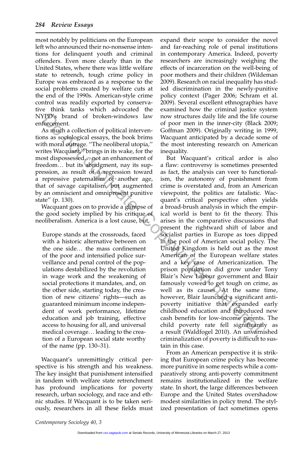most notably by politicians on the European left who announced their no-nonsense intentions for delinquent youth and criminal offenders. Even more clearly than in the United States, where there was little welfare state to retrench, tough crime policy in Europe was embraced as a response to the social problems created by welfare cuts at the end of the 1990s. American-style crime control was readily exported by conservative think tanks which advocated the NYPD's brand of broken-windows law enforcement.

As much a collection of political interventions as sociological essays, the book brims with moral outrage. ''The neoliberal utopia,'' writes Wacquant, ''brings in its wake, for the most dispossessed. not an enhancement of freedom... but its abridgment, nay its suppression, as result of a regression toward a repressive paternalism of another age, that of savage capitalism, but augmented by an omniscient and omnipresent punitive state'' (p. 130).

Wacquant goes on to provide a glimpse of the good society implied by his critique of neoliberalism. America is a lost cause, but,

Europe stands at the crossroads, faced with a historic alternative between on the one side... the mass confinement of the poor and intensified police surveillance and penal control of the populations destabilized by the revolution in wage work and the weakening of social protections it mandates, and, on the other side, starting today, the creation of new citizens' rights—such as guaranteed minimum income independent of work performance, lifetime education and job training, effective access to housing for all, and universal medical coverage... leading to the creation of a European social state worthy of the name (pp. 130–31).

Wacquant's unremittingly critical perspective is his strength and his weakness. The key insight that punishment intensified in tandem with welfare state retrenchment has profound implications for poverty research, urban sociology, and race and ethnic studies. If Wacquant is to be taken seriously, researchers in all these fields must

expand their scope to consider the novel and far-reaching role of penal institutions in contemporary America. Indeed, poverty researchers are increasingly weighing the effects of incarceration on the well-being of poor mothers and their children (Wildeman 2009). Research on racial inequality has studied discrimination in the newly-punitive policy context (Pager 2006; Schram et al. 2009). Several excellent ethnographies have examined how the criminal justice system now structures daily life and the life course of poor men in the inner-city (Black 2009; Goffman 2009). Originally writing in 1999, Wacquant anticipated by a decade some of the most interesting research on American inequality.

But Wacquant's critical ardor is also a flaw: controversy is sometimes presented as fact, the analysis can veer to functionalism, the autonomy of punishment from crime is overstated and, from an American viewpoint, the politics are fatalistic. Wacquant's critical perspective often yields a broad-brush analysis in which the empirical world is bent to fit the theory. This arises in the comparative discussions that present the rightward shift of labor and socialist parties in Europe as toes dipped in the pool of American social policy. The United Kingdom is held out as the most American of the European welfare states and a key case of Americanization. The prison population did grow under Tony Blair's New Labour government and Blair famously vowed to get tough on crime, as well as its causes. At the same time, however, Blair launched a significant antipoverty initiative that expanded early childhood education and introduced new cash benefits for low-income parents. The child poverty rate fell significantly as a result (Waldfogel 2010). An unvarnished criminalization of poverty is difficult to sustain in this case. (DD)<br>For brand of broken-windows law now structures alaly life and the life compact.<br>Sa mugh a collection of political interven-<br>of poro men in the imer-city (Black<br>As mugh a collection of political interven-<br>Coffman 2009

> From an American perspective it is striking that European crime policy has become more punitive in some respects while a comparatively strong anti-poverty commitment remains institutionalized in the welfare state. In short, the large differences between Europe and the United States overshadow modest similarities in policy trend. The stylized presentation of fact sometimes opens

Contemporary Sociology 40, 3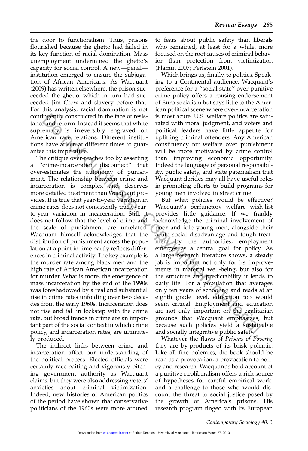the door to functionalism. Thus, prisons flourished because the ghetto had failed in its key function of racial domination. Mass unemployment undermined the ghetto's capacity for social control. A new—penal institution emerged to ensure the subjugation of African Americans. As Wacquant (2009) has written elsewhere, the prison succeeded the ghetto, which in turn had succeeded Jim Crow and slavery before that. For this analysis, racial domination is not contingently constructed in the face of resistance and reform. Instead it seems that white supremacy is irreversibly engraved on American race relations. Different institutions have arisen at different times to guarantee this imperative.

The critique over-reaches too by asserting a ''crime-incarceration disconnect'' that over-estimates the autonomy of punishment. The relationship between crime and incarceration is complex and deserves more detailed treatment than Wacquant provides. It is true that year-to-year variation in crime rates does not consistently track yearto-year variation in incarceration. Still, it does not follow that the level of crime and the scale of punishment are unrelated. Wacquant himself acknowledges that the distribution of punishment across the population at a point in time partly reflects differences in criminal activity. The key example is the murder rate among black men and the high rate of African American incarceration for murder. What is more, the emergence of mass incarceration by the end of the 1990s was foreshadowed by a real and substantial rise in crime rates unfolding over two decades from the early 1960s. Incarceration does not rise and fall in lockstep with the crime rate, but broad trends in crime are an important part of the social context in which crime policy, and incarceration rates, are ultimately produced. ingently constructed in the face of resis is most actual. U.S. welfare politics are spending of early is irreversibly engraved on political leaders have little appetite reams<br>(Pand reform nase pelations. Different institu-

The indirect links between crime and incarceration affect our understanding of the political process. Elected officials were certainly race-baiting and vigorously pitching government authority as Wacquant claims, but they were also addressing voters' anxieties about criminal victimization. Indeed, new histories of American politics of the period have shown that conservative politicians of the 1960s were more attuned

to fears about public safety than liberals who remained, at least for a while, more focused on the root causes of criminal behavior than protection from victimization (Flamm 2007; Perlstein 2001).

Which brings us, finally, to politics. Speaking to a Continental audience, Wacquant's preference for a ''social state'' over punitive crime policy offers a rousing endorsement of Euro-socialism but says little to the American political scene where over-incarceration is most acute. U.S. welfare politics are saturated with moral judgment, and voters and political leaders have little appetite for uplifting criminal offenders. Any American constituency for welfare over punishment will be more motivated by crime control than improving economic opportunity. Indeed the language of personal responsibility, public safety, and state paternalism that Wacquant derides may all have useful roles in promoting efforts to build programs for young men involved in street crime.

But what policies would be effective? Wacquant's perfunctory welfare wish-list provides little guidance. If we frankly acknowledge the criminal involvement of poor and idle young men, alongside their acute social disadvantage and tough treatment by the authorities, employment emerges as a central goal for policy. As a large research literature shows, a steady job is important not only for its improvements in material well-being, but also for the structure and predictability it lends to daily life. For a population that averages only ten years of schooling and reads at an eighth grade level, education too would seem critical. Employment and education are not only important on the egalitarian grounds that Wacquant emphasizes, but because such policies yield a sustainable and socially integrative public safety.

Whatever the flaws of Prisons of Poverty, they are by-products of its brisk polemic. Like all fine polemics, the book should be read as a provocation, a provocation to policy and research. Wacquant's bold account of a punitive neoliberalism offers a rich source of hypotheses for careful empirical work, and a challenge to those who would discount the threat to social justice posed by the growth of America's prisons. His research program tinged with its European